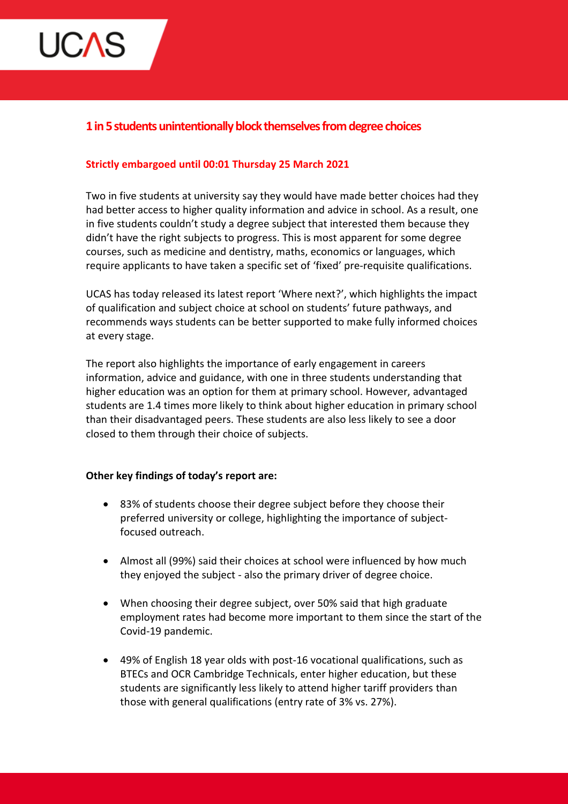

# **1 in 5 students unintentionally block themselves from degree choices**

## **Strictly embargoed until 00:01 Thursday 25 March 2021**

Two in five students at university say they would have made better choices had they had better access to higher quality information and advice in school. As a result, one in five students couldn't study a degree subject that interested them because they didn't have the right subjects to progress. This is most apparent for some degree courses, such as medicine and dentistry, maths, economics or languages, which require applicants to have taken a specific set of 'fixed' pre-requisite qualifications.

UCAS has today released its latest report 'Where next?', which highlights the impact of qualification and subject choice at school on students' future pathways, and recommends ways students can be better supported to make fully informed choices at every stage.

The report also highlights the importance of early engagement in careers information, advice and guidance, with one in three students understanding that higher education was an option for them at primary school. However, advantaged students are 1.4 times more likely to think about higher education in primary school than their disadvantaged peers. These students are also less likely to see a door closed to them through their choice of subjects.

### **Other key findings of today's report are:**

- 83% of students choose their degree subject before they choose their preferred university or college, highlighting the importance of subjectfocused outreach.
- Almost all (99%) said their choices at school were influenced by how much they enjoyed the subject - also the primary driver of degree choice.
- When choosing their degree subject, over 50% said that high graduate employment rates had become more important to them since the start of the Covid-19 pandemic.
- 49% of English 18 year olds with post-16 vocational qualifications, such as BTECs and OCR Cambridge Technicals, enter higher education, but these students are significantly less likely to attend higher tariff providers than those with general qualifications (entry rate of 3% vs. 27%).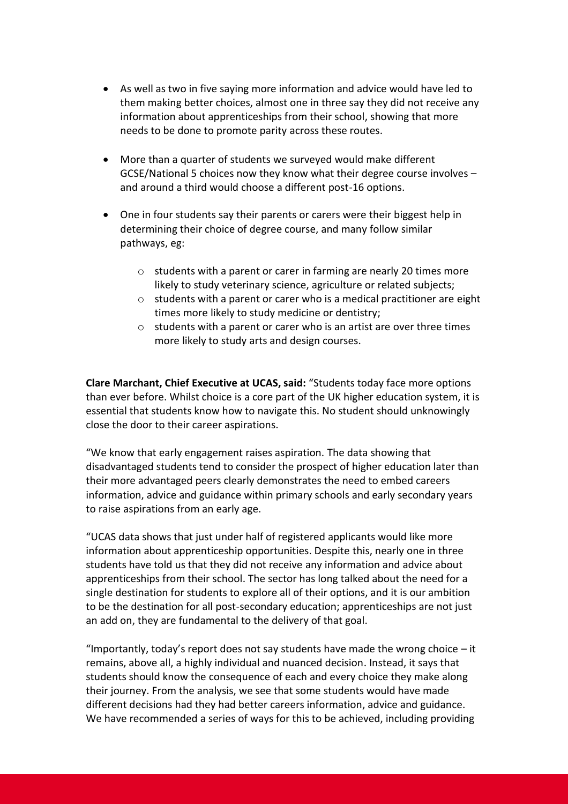- As well as two in five saying more information and advice would have led to them making better choices, almost one in three say they did not receive any information about apprenticeships from their school, showing that more needs to be done to promote parity across these routes.
- More than a quarter of students we surveyed would make different GCSE/National 5 choices now they know what their degree course involves – and around a third would choose a different post-16 options.
- One in four students say their parents or carers were their biggest help in determining their choice of degree course, and many follow similar pathways, eg:
	- o students with a parent or carer in farming are nearly 20 times more likely to study veterinary science, agriculture or related subjects;
	- $\circ$  students with a parent or carer who is a medical practitioner are eight times more likely to study medicine or dentistry;
	- $\circ$  students with a parent or carer who is an artist are over three times more likely to study arts and design courses.

**Clare Marchant, Chief Executive at UCAS, said:** "Students today face more options than ever before. Whilst choice is a core part of the UK higher education system, it is essential that students know how to navigate this. No student should unknowingly close the door to their career aspirations.

"We know that early engagement raises aspiration. The data showing that disadvantaged students tend to consider the prospect of higher education later than their more advantaged peers clearly demonstrates the need to embed careers information, advice and guidance within primary schools and early secondary years to raise aspirations from an early age.

"UCAS data shows that just under half of registered applicants would like more information about apprenticeship opportunities. Despite this, nearly one in three students have told us that they did not receive any information and advice about apprenticeships from their school. The sector has long talked about the need for a single destination for students to explore all of their options, and it is our ambition to be the destination for all post-secondary education; apprenticeships are not just an add on, they are fundamental to the delivery of that goal.

"Importantly, today's report does not say students have made the wrong choice  $-$  it remains, above all, a highly individual and nuanced decision. Instead, it says that students should know the consequence of each and every choice they make along their journey. From the analysis, we see that some students would have made different decisions had they had better careers information, advice and guidance. We have recommended a series of ways for this to be achieved, including providing